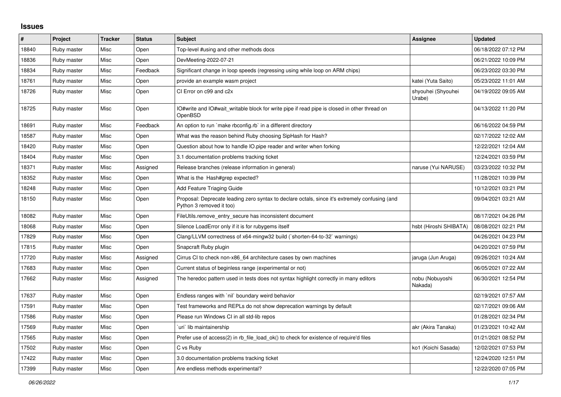## **Issues**

| #     | Project     | <b>Tracker</b> | <b>Status</b> | <b>Subject</b>                                                                                                             | Assignee                     | <b>Updated</b>      |
|-------|-------------|----------------|---------------|----------------------------------------------------------------------------------------------------------------------------|------------------------------|---------------------|
| 18840 | Ruby master | Misc           | Open          | Top-level #using and other methods docs                                                                                    |                              | 06/18/2022 07:12 PM |
| 18836 | Ruby master | Misc           | Open          | DevMeeting-2022-07-21                                                                                                      |                              | 06/21/2022 10:09 PM |
| 18834 | Ruby master | Misc           | Feedback      | Significant change in loop speeds (regressing using while loop on ARM chips)                                               |                              | 06/23/2022 03:30 PM |
| 18761 | Ruby master | Misc           | Open          | provide an example wasm project                                                                                            | katei (Yuta Saito)           | 05/23/2022 11:01 AM |
| 18726 | Ruby master | Misc           | Open          | CI Error on c99 and c2x                                                                                                    | shyouhei (Shyouhei<br>Urabe) | 04/19/2022 09:05 AM |
| 18725 | Ruby master | Misc           | Open          | IO#write and IO#wait_writable block for write pipe if read pipe is closed in other thread on<br>OpenBSD                    |                              | 04/13/2022 11:20 PM |
| 18691 | Ruby master | Misc           | Feedback      | An option to run `make rbconfig.rb` in a different directory                                                               |                              | 06/16/2022 04:59 PM |
| 18587 | Ruby master | Misc           | Open          | What was the reason behind Ruby choosing SipHash for Hash?                                                                 |                              | 02/17/2022 12:02 AM |
| 18420 | Ruby master | Misc           | Open          | Question about how to handle IO pipe reader and writer when forking                                                        |                              | 12/22/2021 12:04 AM |
| 18404 | Ruby master | Misc           | Open          | 3.1 documentation problems tracking ticket                                                                                 |                              | 12/24/2021 03:59 PM |
| 18371 | Ruby master | Misc           | Assigned      | Release branches (release information in general)                                                                          | naruse (Yui NARUSE)          | 03/23/2022 10:32 PM |
| 18352 | Ruby master | Misc           | Open          | What is the Hash#grep expected?                                                                                            |                              | 11/28/2021 10:39 PM |
| 18248 | Ruby master | Misc           | Open          | Add Feature Triaging Guide                                                                                                 |                              | 10/12/2021 03:21 PM |
| 18150 | Ruby master | Misc           | Open          | Proposal: Deprecate leading zero syntax to declare octals, since it's extremely confusing (and<br>Python 3 removed it too) |                              | 09/04/2021 03:21 AM |
| 18082 | Ruby master | Misc           | Open          | FileUtils.remove entry secure has inconsistent document                                                                    |                              | 08/17/2021 04:26 PM |
| 18068 | Ruby master | Misc           | Open          | Silence LoadError only if it is for rubygems itself                                                                        | hsbt (Hiroshi SHIBATA)       | 08/08/2021 02:21 PM |
| 17829 | Ruby master | Misc           | Open          | Clang/LLVM correctness of x64-mingw32 build (`shorten-64-to-32` warnings)                                                  |                              | 04/26/2021 04:23 PM |
| 17815 | Ruby master | Misc           | Open          | Snapcraft Ruby plugin                                                                                                      |                              | 04/20/2021 07:59 PM |
| 17720 | Ruby master | Misc           | Assigned      | Cirrus CI to check non-x86 64 architecture cases by own machines                                                           | jaruga (Jun Aruga)           | 09/26/2021 10:24 AM |
| 17683 | Ruby master | Misc           | Open          | Current status of beginless range (experimental or not)                                                                    |                              | 06/05/2021 07:22 AM |
| 17662 | Ruby master | Misc           | Assigned      | The heredoc pattern used in tests does not syntax highlight correctly in many editors                                      | nobu (Nobuyoshi<br>Nakada)   | 06/30/2021 12:54 PM |
| 17637 | Ruby master | Misc           | Open          | Endless ranges with `nil` boundary weird behavior                                                                          |                              | 02/19/2021 07:57 AM |
| 17591 | Ruby master | Misc           | Open          | Test frameworks and REPLs do not show deprecation warnings by default                                                      |                              | 02/17/2021 09:06 AM |
| 17586 | Ruby master | Misc           | Open          | Please run Windows CI in all std-lib repos                                                                                 |                              | 01/28/2021 02:34 PM |
| 17569 | Ruby master | Misc           | Open          | `uri` lib maintainership                                                                                                   | akr (Akira Tanaka)           | 01/23/2021 10:42 AM |
| 17565 | Ruby master | Misc           | Open          | Prefer use of access(2) in rb file load ok() to check for existence of require'd files                                     |                              | 01/21/2021 08:52 PM |
| 17502 | Ruby master | Misc           | Open          | C vs Ruby                                                                                                                  | ko1 (Koichi Sasada)          | 12/02/2021 07:53 PM |
| 17422 | Ruby master | Misc           | Open          | 3.0 documentation problems tracking ticket                                                                                 |                              | 12/24/2020 12:51 PM |
| 17399 | Ruby master | Misc           | Open          | Are endless methods experimental?                                                                                          |                              | 12/22/2020 07:05 PM |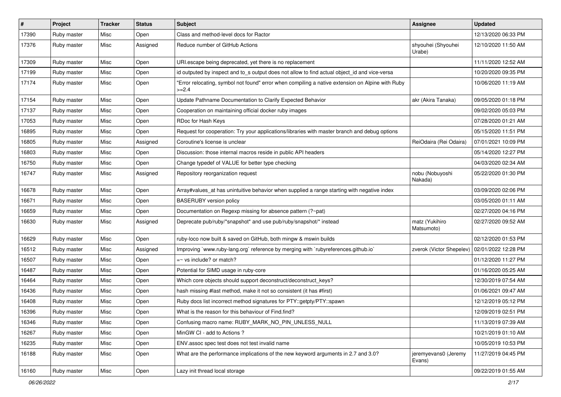| $\pmb{\#}$ | Project     | <b>Tracker</b> | <b>Status</b> | <b>Subject</b>                                                                                              | <b>Assignee</b>                | <b>Updated</b>      |
|------------|-------------|----------------|---------------|-------------------------------------------------------------------------------------------------------------|--------------------------------|---------------------|
| 17390      | Ruby master | Misc           | Open          | Class and method-level docs for Ractor                                                                      |                                | 12/13/2020 06:33 PM |
| 17376      | Ruby master | Misc           | Assigned      | Reduce number of GitHub Actions                                                                             | shyouhei (Shyouhei<br>Urabe)   | 12/10/2020 11:50 AM |
| 17309      | Ruby master | Misc           | Open          | URI escape being deprecated, yet there is no replacement                                                    |                                | 11/11/2020 12:52 AM |
| 17199      | Ruby master | Misc           | Open          | id outputed by inspect and to_s output does not allow to find actual object_id and vice-versa               |                                | 10/20/2020 09:35 PM |
| 17174      | Ruby master | Misc           | Open          | "Error relocating, symbol not found" error when compiling a native extension on Alpine with Ruby<br>$>=2.4$ |                                | 10/06/2020 11:19 AM |
| 17154      | Ruby master | Misc           | Open          | Update Pathname Documentation to Clarify Expected Behavior                                                  | akr (Akira Tanaka)             | 09/05/2020 01:18 PM |
| 17137      | Ruby master | Misc           | Open          | Cooperation on maintaining official docker ruby images                                                      |                                | 09/02/2020 05:03 PM |
| 17053      | Ruby master | Misc           | Open          | RDoc for Hash Keys                                                                                          |                                | 07/28/2020 01:21 AM |
| 16895      | Ruby master | Misc           | Open          | Request for cooperation: Try your applications/libraries with master branch and debug options               |                                | 05/15/2020 11:51 PM |
| 16805      | Ruby master | Misc           | Assigned      | Coroutine's license is unclear                                                                              | ReiOdaira (Rei Odaira)         | 07/01/2021 10:09 PM |
| 16803      | Ruby master | Misc           | Open          | Discussion: those internal macros reside in public API headers                                              |                                | 05/14/2020 12:27 PM |
| 16750      | Ruby master | Misc           | Open          | Change typedef of VALUE for better type checking                                                            |                                | 04/03/2020 02:34 AM |
| 16747      | Ruby master | Misc           | Assigned      | Repository reorganization request                                                                           | nobu (Nobuyoshi<br>Nakada)     | 05/22/2020 01:30 PM |
| 16678      | Ruby master | Misc           | Open          | Array#values_at has unintuitive behavior when supplied a range starting with negative index                 |                                | 03/09/2020 02:06 PM |
| 16671      | Ruby master | Misc           | Open          | <b>BASERUBY</b> version policy                                                                              |                                | 03/05/2020 01:11 AM |
| 16659      | Ruby master | Misc           | Open          | Documentation on Regexp missing for absence pattern (?~pat)                                                 |                                | 02/27/2020 04:16 PM |
| 16630      | Ruby master | Misc           | Assigned      | Deprecate pub/ruby/*snapshot* and use pub/ruby/snapshot/* instead                                           | matz (Yukihiro<br>Matsumoto)   | 02/27/2020 09:52 AM |
| 16629      | Ruby master | Misc           | Open          | ruby-loco now built & saved on GitHub, both mingw & mswin builds                                            |                                | 02/12/2020 01:53 PM |
| 16512      | Ruby master | Misc           | Assigned      | Improving `www.ruby-lang.org` reference by merging with `rubyreferences.github.io`                          | zverok (Victor Shepelev)       | 02/01/2022 12:28 PM |
| 16507      | Ruby master | Misc           | Open          | $=$ vs include? or match?                                                                                   |                                | 01/12/2020 11:27 PM |
| 16487      | Ruby master | Misc           | Open          | Potential for SIMD usage in ruby-core                                                                       |                                | 01/16/2020 05:25 AM |
| 16464      | Ruby master | Misc           | Open          | Which core objects should support deconstruct/deconstruct_keys?                                             |                                | 12/30/2019 07:54 AM |
| 16436      | Ruby master | Misc           | Open          | hash missing #last method, make it not so consistent (it has #first)                                        |                                | 01/06/2021 09:47 AM |
| 16408      | Ruby master | Misc           | Open          | Ruby docs list incorrect method signatures for PTY::getpty/PTY::spawn                                       |                                | 12/12/2019 05:12 PM |
| 16396      | Ruby master | Misc           | Open          | What is the reason for this behaviour of Find.find?                                                         |                                | 12/09/2019 02:51 PM |
| 16346      | Ruby master | Misc           | Open          | Confusing macro name: RUBY_MARK_NO_PIN_UNLESS_NULL                                                          |                                | 11/13/2019 07:39 AM |
| 16267      | Ruby master | Misc           | Open          | MinGW CI - add to Actions?                                                                                  |                                | 10/21/2019 01:10 AM |
| 16235      | Ruby master | Misc           | Open          | ENV assoc spec test does not test invalid name                                                              |                                | 10/05/2019 10:53 PM |
| 16188      | Ruby master | Misc           | Open          | What are the performance implications of the new keyword arguments in 2.7 and 3.0?                          | jeremyevans0 (Jeremy<br>Evans) | 11/27/2019 04:45 PM |
| 16160      | Ruby master | Misc           | Open          | Lazy init thread local storage                                                                              |                                | 09/22/2019 01:55 AM |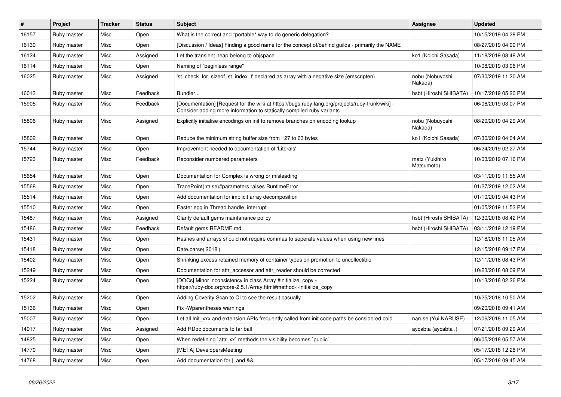| $\vert$ # | Project     | <b>Tracker</b> | <b>Status</b> | <b>Subject</b>                                                                                                                                                           | Assignee                     | <b>Updated</b>      |
|-----------|-------------|----------------|---------------|--------------------------------------------------------------------------------------------------------------------------------------------------------------------------|------------------------------|---------------------|
| 16157     | Ruby master | Misc           | Open          | What is the correct and *portable* way to do generic delegation?                                                                                                         |                              | 10/15/2019 04:28 PM |
| 16130     | Ruby master | Misc           | Open          | [Discussion / Ideas] Finding a good name for the concept of/behind guilds - primarily the NAME                                                                           |                              | 08/27/2019 04:00 PM |
| 16124     | Ruby master | Misc           | Assigned      | Let the transient heap belong to objspace                                                                                                                                | ko1 (Koichi Sasada)          | 11/18/2019 08:48 AM |
| 16114     | Ruby master | Misc           | Open          | Naming of "beginless range"                                                                                                                                              |                              | 10/08/2019 03:06 PM |
| 16025     | Ruby master | Misc           | Assigned      | 'st check for sizeof st index t' declared as array with a negative size (emscripten)                                                                                     | nobu (Nobuyoshi<br>Nakada)   | 07/30/2019 11:20 AM |
| 16013     | Ruby master | Misc           | Feedback      | Bundler                                                                                                                                                                  | hsbt (Hiroshi SHIBATA)       | 10/17/2019 05:20 PM |
| 15905     | Ruby master | Misc           | Feedback      | [Documentation] [Request for the wiki at https://bugs.ruby-lang.org/projects/ruby-trunk/wiki] -<br>Consider adding more information to statically compiled ruby variants |                              | 06/06/2019 03:07 PM |
| 15806     | Ruby master | Misc           | Assigned      | Explicitly initialise encodings on init to remove branches on encoding lookup                                                                                            | nobu (Nobuyoshi<br>Nakada)   | 08/29/2019 04:29 AM |
| 15802     | Ruby master | Misc           | Open          | Reduce the minimum string buffer size from 127 to 63 bytes                                                                                                               | ko1 (Koichi Sasada)          | 07/30/2019 04:04 AM |
| 15744     | Ruby master | Misc           | Open          | Improvement needed to documentation of 'Literals'                                                                                                                        |                              | 06/24/2019 02:27 AM |
| 15723     | Ruby master | Misc           | Feedback      | Reconsider numbered parameters                                                                                                                                           | matz (Yukihiro<br>Matsumoto) | 10/03/2019 07:16 PM |
| 15654     | Ruby master | Misc           | Open          | Documentation for Complex is wrong or misleading                                                                                                                         |                              | 03/11/2019 11:55 AM |
| 15568     | Ruby master | Misc           | Open          | TracePoint(:raise)#parameters raises RuntimeError                                                                                                                        |                              | 01/27/2019 12:02 AM |
| 15514     | Ruby master | Misc           | Open          | Add documentation for implicit array decomposition                                                                                                                       |                              | 01/10/2019 04:43 PM |
| 15510     | Ruby master | Misc           | Open          | Easter egg in Thread handle interrupt                                                                                                                                    |                              | 01/05/2019 11:53 PM |
| 15487     | Ruby master | Misc           | Assigned      | Clarify default gems maintanance policy                                                                                                                                  | hsbt (Hiroshi SHIBATA)       | 12/30/2018 08:42 PM |
| 15486     | Ruby master | Misc           | Feedback      | Default gems README.md                                                                                                                                                   | hsbt (Hiroshi SHIBATA)       | 03/11/2019 12:19 PM |
| 15431     | Ruby master | Misc           | Open          | Hashes and arrays should not require commas to seperate values when using new lines                                                                                      |                              | 12/18/2018 11:05 AM |
| 15418     | Ruby master | Misc           | Open          | Date.parse('2018')                                                                                                                                                       |                              | 12/15/2018 09:17 PM |
| 15402     | Ruby master | Misc           | Open          | Shrinking excess retained memory of container types on promotion to uncollectible                                                                                        |                              | 12/11/2018 08:43 PM |
| 15249     | Ruby master | Misc           | Open          | Documentation for attr accessor and attr reader should be corrected                                                                                                      |                              | 10/23/2018 08:09 PM |
| 15224     | Ruby master | Misc           | Open          | [DOCs] Minor inconsistency in class Array #initialize_copy -<br>https://ruby-doc.org/core-2.5.1/Array.html#method-i-initialize_copy                                      |                              | 10/13/2018 02:26 PM |
| 15202     | Ruby master | Misc           | Open          | Adding Coverity Scan to CI to see the result casually                                                                                                                    |                              | 10/25/2018 10:50 AM |
| 15136     | Ruby master | Misc           | Open          | Fix - Wparentheses warnings                                                                                                                                              |                              | 09/20/2018 09:41 AM |
| 15007     | Ruby master | Misc           | Open          | Let all Init xxx and extension APIs frequently called from init code paths be considered cold                                                                            | naruse (Yui NARUSE)          | 12/06/2018 11:05 AM |
| 14917     | Ruby master | Misc           | Assigned      | Add RDoc documents to tar ball                                                                                                                                           | aycabta (aycabta.)           | 07/21/2018 09:29 AM |
| 14825     | Ruby master | Misc           | Open          | When redefining `attr_xx` methods the visibility becomes `public`                                                                                                        |                              | 06/05/2018 05:57 AM |
| 14770     | Ruby master | Misc           | Open          | [META] DevelopersMeeting                                                                                                                                                 |                              | 05/17/2018 12:28 PM |
| 14768     | Ruby master | Misc           | Open          | Add documentation for    and &&                                                                                                                                          |                              | 05/17/2018 09:45 AM |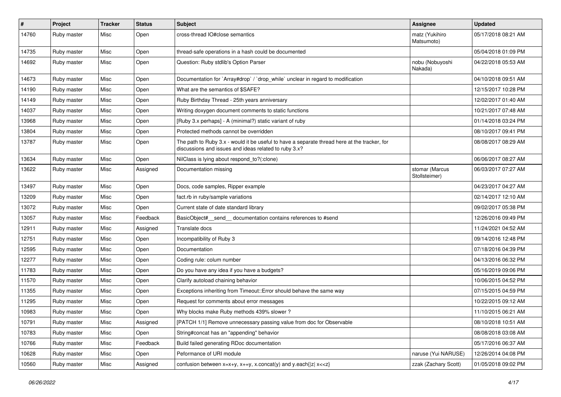| $\sharp$ | Project     | <b>Tracker</b> | <b>Status</b> | Subject                                                                                                                                               | Assignee                        | <b>Updated</b>      |
|----------|-------------|----------------|---------------|-------------------------------------------------------------------------------------------------------------------------------------------------------|---------------------------------|---------------------|
| 14760    | Ruby master | Misc           | Open          | cross-thread IO#close semantics                                                                                                                       | matz (Yukihiro<br>Matsumoto)    | 05/17/2018 08:21 AM |
| 14735    | Ruby master | Misc           | Open          | thread-safe operations in a hash could be documented                                                                                                  |                                 | 05/04/2018 01:09 PM |
| 14692    | Ruby master | Misc           | Open          | Question: Ruby stdlib's Option Parser                                                                                                                 | nobu (Nobuyoshi<br>Nakada)      | 04/22/2018 05:53 AM |
| 14673    | Ruby master | Misc           | Open          | Documentation for `Array#drop` / `drop_while` unclear in regard to modification                                                                       |                                 | 04/10/2018 09:51 AM |
| 14190    | Ruby master | Misc           | Open          | What are the semantics of \$SAFE?                                                                                                                     |                                 | 12/15/2017 10:28 PM |
| 14149    | Ruby master | Misc           | Open          | Ruby Birthday Thread - 25th years anniversary                                                                                                         |                                 | 12/02/2017 01:40 AM |
| 14037    | Ruby master | Misc           | Open          | Writing doxygen document comments to static functions                                                                                                 |                                 | 10/21/2017 07:48 AM |
| 13968    | Ruby master | Misc           | Open          | [Ruby 3.x perhaps] - A (minimal?) static variant of ruby                                                                                              |                                 | 01/14/2018 03:24 PM |
| 13804    | Ruby master | Misc           | Open          | Protected methods cannot be overridden                                                                                                                |                                 | 08/10/2017 09:41 PM |
| 13787    | Ruby master | Misc           | Open          | The path to Ruby 3.x - would it be useful to have a separate thread here at the tracker, for<br>discussions and issues and ideas related to ruby 3.x? |                                 | 08/08/2017 08:29 AM |
| 13634    | Ruby master | Misc           | Open          | NilClass is lying about respond_to?(:clone)                                                                                                           |                                 | 06/06/2017 08:27 AM |
| 13622    | Ruby master | Misc           | Assigned      | Documentation missing                                                                                                                                 | stomar (Marcus<br>Stollsteimer) | 06/03/2017 07:27 AM |
| 13497    | Ruby master | Misc           | Open          | Docs, code samples, Ripper example                                                                                                                    |                                 | 04/23/2017 04:27 AM |
| 13209    | Ruby master | Misc           | Open          | fact.rb in ruby/sample variations                                                                                                                     |                                 | 02/14/2017 12:10 AM |
| 13072    | Ruby master | Misc           | Open          | Current state of date standard library                                                                                                                |                                 | 09/02/2017 05:38 PM |
| 13057    | Ruby master | Misc           | Feedback      | BasicObject#_send_ documentation contains references to #send                                                                                         |                                 | 12/26/2016 09:49 PM |
| 12911    | Ruby master | Misc           | Assigned      | Translate docs                                                                                                                                        |                                 | 11/24/2021 04:52 AM |
| 12751    | Ruby master | Misc           | Open          | Incompatibility of Ruby 3                                                                                                                             |                                 | 09/14/2016 12:48 PM |
| 12595    | Ruby master | Misc           | Open          | Documentation                                                                                                                                         |                                 | 07/18/2016 04:39 PM |
| 12277    | Ruby master | Misc           | Open          | Coding rule: colum number                                                                                                                             |                                 | 04/13/2016 06:32 PM |
| 11783    | Ruby master | Misc           | Open          | Do you have any idea if you have a budgets?                                                                                                           |                                 | 05/16/2019 09:06 PM |
| 11570    | Ruby master | Misc           | Open          | Clarify autoload chaining behavior                                                                                                                    |                                 | 10/06/2015 04:52 PM |
| 11355    | Ruby master | Misc           | Open          | Exceptions inheriting from Timeout:: Error should behave the same way                                                                                 |                                 | 07/15/2015 04:59 PM |
| 11295    | Ruby master | Misc           | Open          | Request for comments about error messages                                                                                                             |                                 | 10/22/2015 09:12 AM |
| 10983    | Ruby master | Misc           | Open          | Why blocks make Ruby methods 439% slower?                                                                                                             |                                 | 11/10/2015 06:21 AM |
| 10791    | Ruby master | Misc           | Assigned      | [PATCH 1/1] Remove unnecessary passing value from doc for Observable                                                                                  |                                 | 08/10/2018 10:51 AM |
| 10783    | Ruby master | Misc           | Open          | String#concat has an "appending" behavior                                                                                                             |                                 | 08/08/2018 03:08 AM |
| 10766    | Ruby master | Misc           | Feedback      | Build failed generating RDoc documentation                                                                                                            |                                 | 05/17/2016 06:37 AM |
| 10628    | Ruby master | Misc           | Open          | Peformance of URI module                                                                                                                              | naruse (Yui NARUSE)             | 12/26/2014 04:08 PM |
| 10560    | Ruby master | Misc           | Assigned      | confusion between $x=x+y$ , $x+=y$ , $x$ .concat(y) and $y$ .each{ $ z $ $x<}$                                                                        | zzak (Zachary Scott)            | 01/05/2018 09:02 PM |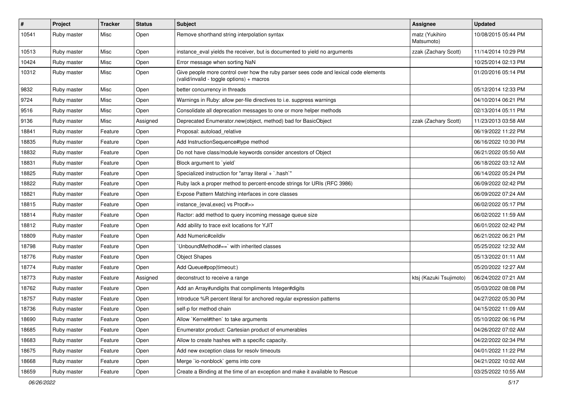| $\pmb{\#}$ | Project     | <b>Tracker</b> | <b>Status</b> | Subject                                                                                                                            | <b>Assignee</b>              | <b>Updated</b>      |
|------------|-------------|----------------|---------------|------------------------------------------------------------------------------------------------------------------------------------|------------------------------|---------------------|
| 10541      | Ruby master | Misc           | Open          | Remove shorthand string interpolation syntax                                                                                       | matz (Yukihiro<br>Matsumoto) | 10/08/2015 05:44 PM |
| 10513      | Ruby master | Misc           | Open          | instance_eval yields the receiver, but is documented to yield no arguments                                                         | zzak (Zachary Scott)         | 11/14/2014 10:29 PM |
| 10424      | Ruby master | Misc           | Open          | Error message when sorting NaN                                                                                                     |                              | 10/25/2014 02:13 PM |
| 10312      | Ruby master | Misc           | Open          | Give people more control over how the ruby parser sees code and lexical code elements<br>(valid/invalid - toggle options) + macros |                              | 01/20/2016 05:14 PM |
| 9832       | Ruby master | Misc           | Open          | better concurrency in threads                                                                                                      |                              | 05/12/2014 12:33 PM |
| 9724       | Ruby master | Misc           | Open          | Warnings in Ruby: allow per-file directives to i.e. suppress warnings                                                              |                              | 04/10/2014 06:21 PM |
| 9516       | Ruby master | Misc           | Open          | Consolidate all deprecation messages to one or more helper methods                                                                 |                              | 02/13/2014 05:11 PM |
| 9136       | Ruby master | Misc           | Assigned      | Deprecated Enumerator.new(object, method) bad for BasicObject                                                                      | zzak (Zachary Scott)         | 11/23/2013 03:58 AM |
| 18841      | Ruby master | Feature        | Open          | Proposal: autoload relative                                                                                                        |                              | 06/19/2022 11:22 PM |
| 18835      | Ruby master | Feature        | Open          | Add InstructionSequence#type method                                                                                                |                              | 06/16/2022 10:30 PM |
| 18832      | Ruby master | Feature        | Open          | Do not have class/module keywords consider ancestors of Object                                                                     |                              | 06/21/2022 05:50 AM |
| 18831      | Ruby master | Feature        | Open          | Block argument to `yield`                                                                                                          |                              | 06/18/2022 03:12 AM |
| 18825      | Ruby master | Feature        | Open          | Specialized instruction for "array literal + `.hash`"                                                                              |                              | 06/14/2022 05:24 PM |
| 18822      | Ruby master | Feature        | Open          | Ruby lack a proper method to percent-encode strings for URIs (RFC 3986)                                                            |                              | 06/09/2022 02:42 PM |
| 18821      | Ruby master | Feature        | Open          | Expose Pattern Matching interfaces in core classes                                                                                 |                              | 06/09/2022 07:24 AM |
| 18815      | Ruby master | Feature        | Open          | instance_{eval,exec} vs Proc#>>                                                                                                    |                              | 06/02/2022 05:17 PM |
| 18814      | Ruby master | Feature        | Open          | Ractor: add method to query incoming message queue size                                                                            |                              | 06/02/2022 11:59 AM |
| 18812      | Ruby master | Feature        | Open          | Add ability to trace exit locations for YJIT                                                                                       |                              | 06/01/2022 02:42 PM |
| 18809      | Ruby master | Feature        | Open          | Add Numeric#ceildiv                                                                                                                |                              | 06/21/2022 06:21 PM |
| 18798      | Ruby master | Feature        | Open          | 'UnboundMethod#==' with inherited classes                                                                                          |                              | 05/25/2022 12:32 AM |
| 18776      | Ruby master | Feature        | Open          | <b>Object Shapes</b>                                                                                                               |                              | 05/13/2022 01:11 AM |
| 18774      | Ruby master | Feature        | Open          | Add Queue#pop(timeout:)                                                                                                            |                              | 05/20/2022 12:27 AM |
| 18773      | Ruby master | Feature        | Assigned      | deconstruct to receive a range                                                                                                     | ktsj (Kazuki Tsujimoto)      | 06/24/2022 07:21 AM |
| 18762      | Ruby master | Feature        | Open          | Add an Array#undigits that compliments Integer#digits                                                                              |                              | 05/03/2022 08:08 PM |
| 18757      | Ruby master | Feature        | Open          | Introduce %R percent literal for anchored regular expression patterns                                                              |                              | 04/27/2022 05:30 PM |
| 18736      | Ruby master | Feature        | Open          | self-p for method chain                                                                                                            |                              | 04/15/2022 11:09 AM |
| 18690      | Ruby master | Feature        | Open          | Allow `Kernel#then` to take arguments                                                                                              |                              | 05/10/2022 06:16 PM |
| 18685      | Ruby master | Feature        | Open          | Enumerator.product: Cartesian product of enumerables                                                                               |                              | 04/26/2022 07:02 AM |
| 18683      | Ruby master | Feature        | Open          | Allow to create hashes with a specific capacity.                                                                                   |                              | 04/22/2022 02:34 PM |
| 18675      | Ruby master | Feature        | Open          | Add new exception class for resolv timeouts                                                                                        |                              | 04/01/2022 11:22 PM |
| 18668      | Ruby master | Feature        | Open          | Merge `io-nonblock` gems into core                                                                                                 |                              | 04/21/2022 10:02 AM |
| 18659      | Ruby master | Feature        | Open          | Create a Binding at the time of an exception and make it available to Rescue                                                       |                              | 03/25/2022 10:55 AM |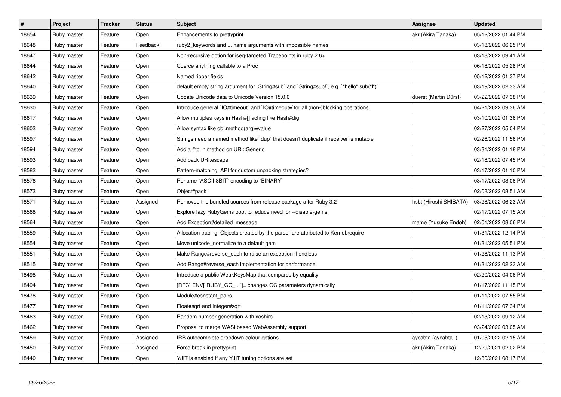| $\vert$ # | <b>Project</b> | <b>Tracker</b> | <b>Status</b> | <b>Subject</b>                                                                            | Assignee               | <b>Updated</b>      |
|-----------|----------------|----------------|---------------|-------------------------------------------------------------------------------------------|------------------------|---------------------|
| 18654     | Ruby master    | Feature        | Open          | Enhancements to prettyprint                                                               | akr (Akira Tanaka)     | 05/12/2022 01:44 PM |
| 18648     | Ruby master    | Feature        | Feedback      | ruby2_keywords and  name arguments with impossible names                                  |                        | 03/18/2022 06:25 PM |
| 18647     | Ruby master    | Feature        | Open          | Non-recursive option for iseq-targeted Tracepoints in ruby 2.6+                           |                        | 03/18/2022 09:41 AM |
| 18644     | Ruby master    | Feature        | Open          | Coerce anything callable to a Proc                                                        |                        | 06/18/2022 05:28 PM |
| 18642     | Ruby master    | Feature        | Open          | Named ripper fields                                                                       |                        | 05/12/2022 01:37 PM |
| 18640     | Ruby master    | Feature        | Open          | default empty string argument for `String#sub` and `String#sub!`, e.g. `"hello".sub("I")` |                        | 03/19/2022 02:33 AM |
| 18639     | Ruby master    | Feature        | Open          | Update Unicode data to Unicode Version 15.0.0                                             | duerst (Martin Dürst)  | 03/22/2022 07:38 PM |
| 18630     | Ruby master    | Feature        | Open          | Introduce general `IO#timeout` and `IO#timeout=`for all (non-)blocking operations.        |                        | 04/21/2022 09:36 AM |
| 18617     | Ruby master    | Feature        | Open          | Allow multiples keys in Hash#[] acting like Hash#dig                                      |                        | 03/10/2022 01:36 PM |
| 18603     | Ruby master    | Feature        | Open          | Allow syntax like obj.method(arg)=value                                                   |                        | 02/27/2022 05:04 PM |
| 18597     | Ruby master    | Feature        | Open          | Strings need a named method like `dup` that doesn't duplicate if receiver is mutable      |                        | 02/26/2022 11:56 PM |
| 18594     | Ruby master    | Feature        | Open          | Add a #to h method on URI:: Generic                                                       |                        | 03/31/2022 01:18 PM |
| 18593     | Ruby master    | Feature        | Open          | Add back URI.escape                                                                       |                        | 02/18/2022 07:45 PM |
| 18583     | Ruby master    | Feature        | Open          | Pattern-matching: API for custom unpacking strategies?                                    |                        | 03/17/2022 01:10 PM |
| 18576     | Ruby master    | Feature        | Open          | Rename `ASCII-8BIT` encoding to `BINARY`                                                  |                        | 03/17/2022 03:06 PM |
| 18573     | Ruby master    | Feature        | Open          | Object#pack1                                                                              |                        | 02/08/2022 08:51 AM |
| 18571     | Ruby master    | Feature        | Assigned      | Removed the bundled sources from release package after Ruby 3.2                           | hsbt (Hiroshi SHIBATA) | 03/28/2022 06:23 AM |
| 18568     | Ruby master    | Feature        | Open          | Explore lazy RubyGems boot to reduce need for --disable-gems                              |                        | 02/17/2022 07:15 AM |
| 18564     | Ruby master    | Feature        | Open          | Add Exception#detailed message                                                            | mame (Yusuke Endoh)    | 02/01/2022 08:06 PM |
| 18559     | Ruby master    | Feature        | Open          | Allocation tracing: Objects created by the parser are attributed to Kernel.require        |                        | 01/31/2022 12:14 PM |
| 18554     | Ruby master    | Feature        | Open          | Move unicode_normalize to a default gem                                                   |                        | 01/31/2022 05:51 PM |
| 18551     | Ruby master    | Feature        | Open          | Make Range#reverse_each to raise an exception if endless                                  |                        | 01/28/2022 11:13 PM |
| 18515     | Ruby master    | Feature        | Open          | Add Range#reverse_each implementation for performance                                     |                        | 01/31/2022 02:23 AM |
| 18498     | Ruby master    | Feature        | Open          | Introduce a public WeakKeysMap that compares by equality                                  |                        | 02/20/2022 04:06 PM |
| 18494     | Ruby master    | Feature        | Open          | [RFC] ENV["RUBY_GC_"]= changes GC parameters dynamically                                  |                        | 01/17/2022 11:15 PM |
| 18478     | Ruby master    | Feature        | Open          | Module#constant_pairs                                                                     |                        | 01/11/2022 07:55 PM |
| 18477     | Ruby master    | Feature        | Open          | Float#sqrt and Integer#sqrt                                                               |                        | 01/11/2022 07:34 PM |
| 18463     | Ruby master    | Feature        | Open          | Random number generation with xoshiro                                                     |                        | 02/13/2022 09:12 AM |
| 18462     | Ruby master    | Feature        | Open          | Proposal to merge WASI based WebAssembly support                                          |                        | 03/24/2022 03:05 AM |
| 18459     | Ruby master    | Feature        | Assigned      | IRB autocomplete dropdown colour options                                                  | aycabta (aycabta.)     | 01/05/2022 02:15 AM |
| 18450     | Ruby master    | Feature        | Assigned      | Force break in prettyprint                                                                | akr (Akira Tanaka)     | 12/29/2021 02:02 PM |
| 18440     | Ruby master    | Feature        | Open          | YJIT is enabled if any YJIT tuning options are set                                        |                        | 12/30/2021 08:17 PM |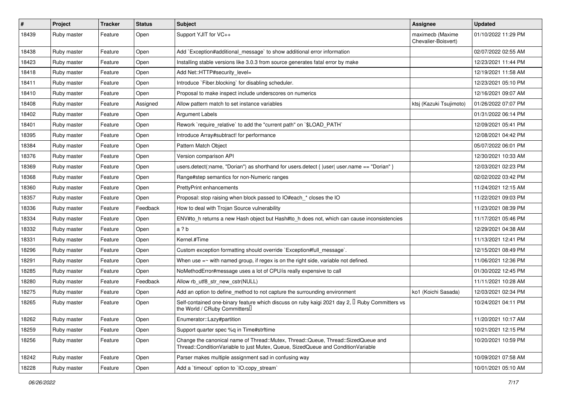| $\vert$ # | Project     | <b>Tracker</b> | <b>Status</b> | Subject                                                                                                                                                               | Assignee                                | <b>Updated</b>      |
|-----------|-------------|----------------|---------------|-----------------------------------------------------------------------------------------------------------------------------------------------------------------------|-----------------------------------------|---------------------|
| 18439     | Ruby master | Feature        | Open          | Support YJIT for VC++                                                                                                                                                 | maximecb (Maxime<br>Chevalier-Boisvert) | 01/10/2022 11:29 PM |
| 18438     | Ruby master | Feature        | Open          | Add `Exception#additional_message` to show additional error information                                                                                               |                                         | 02/07/2022 02:55 AM |
| 18423     | Ruby master | Feature        | Open          | Installing stable versions like 3.0.3 from source generates fatal error by make                                                                                       |                                         | 12/23/2021 11:44 PM |
| 18418     | Ruby master | Feature        | Open          | Add Net::HTTP#security_level=                                                                                                                                         |                                         | 12/19/2021 11:58 AM |
| 18411     | Ruby master | Feature        | Open          | Introduce `Fiber.blocking` for disabling scheduler.                                                                                                                   |                                         | 12/23/2021 05:10 PM |
| 18410     | Ruby master | Feature        | Open          | Proposal to make inspect include underscores on numerics                                                                                                              |                                         | 12/16/2021 09:07 AM |
| 18408     | Ruby master | Feature        | Assigned      | Allow pattern match to set instance variables                                                                                                                         | ktsj (Kazuki Tsujimoto)                 | 01/26/2022 07:07 PM |
| 18402     | Ruby master | Feature        | Open          | Argument Labels                                                                                                                                                       |                                         | 01/31/2022 06:14 PM |
| 18401     | Ruby master | Feature        | Open          | Rework `require_relative` to add the "current path" on `\$LOAD_PATH`                                                                                                  |                                         | 12/09/2021 05:41 PM |
| 18395     | Ruby master | Feature        | Open          | Introduce Array#subtract! for performance                                                                                                                             |                                         | 12/08/2021 04:42 PM |
| 18384     | Ruby master | Feature        | Open          | Pattern Match Object                                                                                                                                                  |                                         | 05/07/2022 06:01 PM |
| 18376     | Ruby master | Feature        | Open          | Version comparison API                                                                                                                                                |                                         | 12/30/2021 10:33 AM |
| 18369     | Ruby master | Feature        | Open          | users.detect(:name, "Dorian") as shorthand for users.detect {  user  user.name == "Dorian" }                                                                          |                                         | 12/03/2021 02:23 PM |
| 18368     | Ruby master | Feature        | Open          | Range#step semantics for non-Numeric ranges                                                                                                                           |                                         | 02/02/2022 03:42 PM |
| 18360     | Ruby master | Feature        | Open          | <b>PrettyPrint enhancements</b>                                                                                                                                       |                                         | 11/24/2021 12:15 AM |
| 18357     | Ruby master | Feature        | Open          | Proposal: stop raising when block passed to IO#each * closes the IO                                                                                                   |                                         | 11/22/2021 09:03 PM |
| 18336     | Ruby master | Feature        | Feedback      | How to deal with Trojan Source vulnerability                                                                                                                          |                                         | 11/23/2021 08:39 PM |
| 18334     | Ruby master | Feature        | Open          | ENV#to_h returns a new Hash object but Hash#to_h does not, which can cause inconsistencies                                                                            |                                         | 11/17/2021 05:46 PM |
| 18332     | Ruby master | Feature        | Open          | a ? b                                                                                                                                                                 |                                         | 12/29/2021 04:38 AM |
| 18331     | Ruby master | Feature        | Open          | Kernel.#Time                                                                                                                                                          |                                         | 11/13/2021 12:41 PM |
| 18296     | Ruby master | Feature        | Open          | Custom exception formatting should override `Exception#full_message`.                                                                                                 |                                         | 12/15/2021 08:49 PM |
| 18291     | Ruby master | Feature        | Open          | When use $=\sim$ with named group, if regex is on the right side, variable not defined.                                                                               |                                         | 11/06/2021 12:36 PM |
| 18285     | Ruby master | Feature        | Open          | NoMethodError#message uses a lot of CPU/is really expensive to call                                                                                                   |                                         | 01/30/2022 12:45 PM |
| 18280     | Ruby master | Feature        | Feedback      | Allow rb_utf8_str_new_cstr(NULL)                                                                                                                                      |                                         | 11/11/2021 10:28 AM |
| 18275     | Ruby master | Feature        | Open          | Add an option to define method to not capture the surrounding environment                                                                                             | ko1 (Koichi Sasada)                     | 12/03/2021 02:34 PM |
| 18265     | Ruby master | Feature        | Open          | Self-contained one-binary feature which discuss on ruby kaigi 2021 day 2, <b>I</b> Ruby Committers vs<br>the World / CRuby Committers                                 |                                         | 10/24/2021 04:11 PM |
| 18262     | Ruby master | Feature        | Open          | Enumerator::Lazy#partition                                                                                                                                            |                                         | 11/20/2021 10:17 AM |
| 18259     | Ruby master | Feature        | Open          | Support quarter spec %q in Time#strftime                                                                                                                              |                                         | 10/21/2021 12:15 PM |
| 18256     | Ruby master | Feature        | Open          | Change the canonical name of Thread::Mutex, Thread::Queue, Thread::SizedQueue and<br>Thread::ConditionVariable to just Mutex, Queue, SizedQueue and ConditionVariable |                                         | 10/20/2021 10:59 PM |
| 18242     | Ruby master | Feature        | Open          | Parser makes multiple assignment sad in confusing way                                                                                                                 |                                         | 10/09/2021 07:58 AM |
| 18228     | Ruby master | Feature        | Open          | Add a 'timeout' option to 'IO.copy_stream'                                                                                                                            |                                         | 10/01/2021 05:10 AM |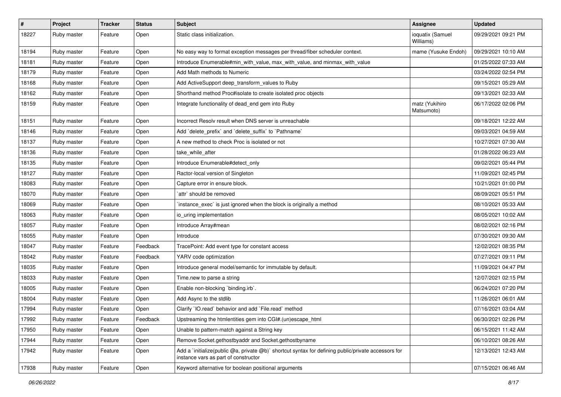| $\pmb{\#}$ | Project     | <b>Tracker</b> | <b>Status</b> | Subject                                                                                                                                     | <b>Assignee</b>               | <b>Updated</b>      |
|------------|-------------|----------------|---------------|---------------------------------------------------------------------------------------------------------------------------------------------|-------------------------------|---------------------|
| 18227      | Ruby master | Feature        | Open          | Static class initialization.                                                                                                                | ioquatix (Samuel<br>Williams) | 09/29/2021 09:21 PM |
| 18194      | Ruby master | Feature        | Open          | No easy way to format exception messages per thread/fiber scheduler context.                                                                | mame (Yusuke Endoh)           | 09/29/2021 10:10 AM |
| 18181      | Ruby master | Feature        | Open          | Introduce Enumerable#min_with_value, max_with_value, and minmax_with_value                                                                  |                               | 01/25/2022 07:33 AM |
| 18179      | Ruby master | Feature        | Open          | Add Math methods to Numeric                                                                                                                 |                               | 03/24/2022 02:54 PM |
| 18168      | Ruby master | Feature        | Open          | Add ActiveSupport deep_transform_values to Ruby                                                                                             |                               | 09/15/2021 05:29 AM |
| 18162      | Ruby master | Feature        | Open          | Shorthand method Proc#isolate to create isolated proc objects                                                                               |                               | 09/13/2021 02:33 AM |
| 18159      | Ruby master | Feature        | Open          | Integrate functionality of dead_end gem into Ruby                                                                                           | matz (Yukihiro<br>Matsumoto)  | 06/17/2022 02:06 PM |
| 18151      | Ruby master | Feature        | Open          | Incorrect Resolv result when DNS server is unreachable                                                                                      |                               | 09/18/2021 12:22 AM |
| 18146      | Ruby master | Feature        | Open          | Add `delete_prefix` and `delete_suffix` to `Pathname`                                                                                       |                               | 09/03/2021 04:59 AM |
| 18137      | Ruby master | Feature        | Open          | A new method to check Proc is isolated or not                                                                                               |                               | 10/27/2021 07:30 AM |
| 18136      | Ruby master | Feature        | Open          | take_while_after                                                                                                                            |                               | 01/28/2022 06:23 AM |
| 18135      | Ruby master | Feature        | Open          | Introduce Enumerable#detect_only                                                                                                            |                               | 09/02/2021 05:44 PM |
| 18127      | Ruby master | Feature        | Open          | Ractor-local version of Singleton                                                                                                           |                               | 11/09/2021 02:45 PM |
| 18083      | Ruby master | Feature        | Open          | Capture error in ensure block.                                                                                                              |                               | 10/21/2021 01:00 PM |
| 18070      | Ruby master | Feature        | Open          | `attr` should be removed                                                                                                                    |                               | 08/09/2021 05:51 PM |
| 18069      | Ruby master | Feature        | Open          | instance_exec` is just ignored when the block is originally a method                                                                        |                               | 08/10/2021 05:33 AM |
| 18063      | Ruby master | Feature        | Open          | io uring implementation                                                                                                                     |                               | 08/05/2021 10:02 AM |
| 18057      | Ruby master | Feature        | Open          | Introduce Array#mean                                                                                                                        |                               | 08/02/2021 02:16 PM |
| 18055      | Ruby master | Feature        | Open          | Introduce                                                                                                                                   |                               | 07/30/2021 09:30 AM |
| 18047      | Ruby master | Feature        | Feedback      | TracePoint: Add event type for constant access                                                                                              |                               | 12/02/2021 08:35 PM |
| 18042      | Ruby master | Feature        | Feedback      | YARV code optimization                                                                                                                      |                               | 07/27/2021 09:11 PM |
| 18035      | Ruby master | Feature        | Open          | Introduce general model/semantic for immutable by default.                                                                                  |                               | 11/09/2021 04:47 PM |
| 18033      | Ruby master | Feature        | Open          | Time.new to parse a string                                                                                                                  |                               | 12/07/2021 02:15 PM |
| 18005      | Ruby master | Feature        | Open          | Enable non-blocking `binding.irb`.                                                                                                          |                               | 06/24/2021 07:20 PM |
| 18004      | Ruby master | Feature        | Open          | Add Async to the stdlib                                                                                                                     |                               | 11/26/2021 06:01 AM |
| 17994      | Ruby master | Feature        | Open          | Clarify 'IO.read' behavior and add 'File.read' method                                                                                       |                               | 07/16/2021 03:04 AM |
| 17992      | Ruby master | Feature        | Feedback      | Upstreaming the htmlentities gem into CGI#.(un)escape html                                                                                  |                               | 06/30/2021 02:26 PM |
| 17950      | Ruby master | Feature        | Open          | Unable to pattern-match against a String key                                                                                                |                               | 06/15/2021 11:42 AM |
| 17944      | Ruby master | Feature        | Open          | Remove Socket.gethostbyaddr and Socket.gethostbyname                                                                                        |                               | 06/10/2021 08:26 AM |
| 17942      | Ruby master | Feature        | Open          | Add a `initialize(public @a, private @b)` shortcut syntax for defining public/private accessors for<br>instance vars as part of constructor |                               | 12/13/2021 12:43 AM |
| 17938      | Ruby master | Feature        | Open          | Keyword alternative for boolean positional arguments                                                                                        |                               | 07/15/2021 06:46 AM |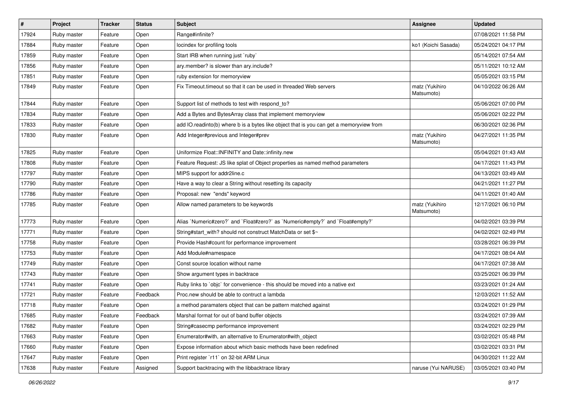| $\sharp$ | Project     | <b>Tracker</b> | <b>Status</b> | Subject                                                                                 | <b>Assignee</b>              | <b>Updated</b>      |
|----------|-------------|----------------|---------------|-----------------------------------------------------------------------------------------|------------------------------|---------------------|
| 17924    | Ruby master | Feature        | Open          | Range#infinite?                                                                         |                              | 07/08/2021 11:58 PM |
| 17884    | Ruby master | Feature        | Open          | locindex for profiling tools                                                            | ko1 (Koichi Sasada)          | 05/24/2021 04:17 PM |
| 17859    | Ruby master | Feature        | Open          | Start IRB when running just `ruby`                                                      |                              | 05/14/2021 07:54 AM |
| 17856    | Ruby master | Feature        | Open          | ary.member? is slower than ary.include?                                                 |                              | 05/11/2021 10:12 AM |
| 17851    | Ruby master | Feature        | Open          | ruby extension for memoryview                                                           |                              | 05/05/2021 03:15 PM |
| 17849    | Ruby master | Feature        | Open          | Fix Timeout timeout so that it can be used in threaded Web servers                      | matz (Yukihiro<br>Matsumoto) | 04/10/2022 06:26 AM |
| 17844    | Ruby master | Feature        | Open          | Support list of methods to test with respond to?                                        |                              | 05/06/2021 07:00 PM |
| 17834    | Ruby master | Feature        | Open          | Add a Bytes and BytesArray class that implement memoryview                              |                              | 05/06/2021 02:22 PM |
| 17833    | Ruby master | Feature        | Open          | add IO.readinto(b) where b is a bytes like object that is you can get a memoryview from |                              | 06/30/2021 02:36 PM |
| 17830    | Ruby master | Feature        | Open          | Add Integer#previous and Integer#prev                                                   | matz (Yukihiro<br>Matsumoto) | 04/27/2021 11:35 PM |
| 17825    | Ruby master | Feature        | Open          | Uniformize Float::INFINITY and Date::infinity.new                                       |                              | 05/04/2021 01:43 AM |
| 17808    | Ruby master | Feature        | Open          | Feature Request: JS like splat of Object properties as named method parameters          |                              | 04/17/2021 11:43 PM |
| 17797    | Ruby master | Feature        | Open          | MIPS support for addr2line.c                                                            |                              | 04/13/2021 03:49 AM |
| 17790    | Ruby master | Feature        | Open          | Have a way to clear a String without resetting its capacity                             |                              | 04/21/2021 11:27 PM |
| 17786    | Ruby master | Feature        | Open          | Proposal: new "ends" keyword                                                            |                              | 04/11/2021 01:40 AM |
| 17785    | Ruby master | Feature        | Open          | Allow named parameters to be keywords                                                   | matz (Yukihiro<br>Matsumoto) | 12/17/2021 06:10 PM |
| 17773    | Ruby master | Feature        | Open          | Alias `Numeric#zero?` and `Float#zero?` as `Numeric#empty?` and `Float#empty?`          |                              | 04/02/2021 03:39 PM |
| 17771    | Ruby master | Feature        | Open          | String#start_with? should not construct MatchData or set \$~                            |                              | 04/02/2021 02:49 PM |
| 17758    | Ruby master | Feature        | Open          | Provide Hash#count for performance improvement                                          |                              | 03/28/2021 06:39 PM |
| 17753    | Ruby master | Feature        | Open          | Add Module#namespace                                                                    |                              | 04/17/2021 08:04 AM |
| 17749    | Ruby master | Feature        | Open          | Const source location without name                                                      |                              | 04/17/2021 07:38 AM |
| 17743    | Ruby master | Feature        | Open          | Show argument types in backtrace                                                        |                              | 03/25/2021 06:39 PM |
| 17741    | Ruby master | Feature        | Open          | Ruby links to `objc` for convenience - this should be moved into a native ext           |                              | 03/23/2021 01:24 AM |
| 17721    | Ruby master | Feature        | Feedback      | Proc.new should be able to contruct a lambda                                            |                              | 12/03/2021 11:52 AM |
| 17718    | Ruby master | Feature        | Open          | a method paramaters object that can be pattern matched against                          |                              | 03/24/2021 01:29 PM |
| 17685    | Ruby master | Feature        | Feedback      | Marshal format for out of band buffer objects                                           |                              | 03/24/2021 07:39 AM |
| 17682    | Ruby master | Feature        | Open          | String#casecmp performance improvement                                                  |                              | 03/24/2021 02:29 PM |
| 17663    | Ruby master | Feature        | Open          | Enumerator#with, an alternative to Enumerator#with_object                               |                              | 03/02/2021 05:48 PM |
| 17660    | Ruby master | Feature        | Open          | Expose information about which basic methods have been redefined                        |                              | 03/02/2021 03:31 PM |
| 17647    | Ruby master | Feature        | Open          | Print register `r11` on 32-bit ARM Linux                                                |                              | 04/30/2021 11:22 AM |
| 17638    | Ruby master | Feature        | Assigned      | Support backtracing with the libbacktrace library                                       | naruse (Yui NARUSE)          | 03/05/2021 03:40 PM |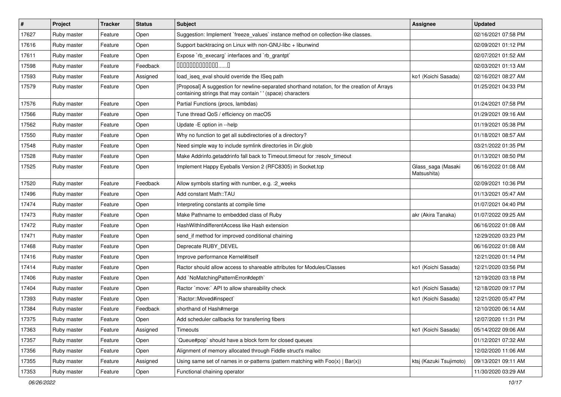| #     | Project     | <b>Tracker</b> | <b>Status</b> | <b>Subject</b>                                                                                                                                            | <b>Assignee</b>                   | <b>Updated</b>      |
|-------|-------------|----------------|---------------|-----------------------------------------------------------------------------------------------------------------------------------------------------------|-----------------------------------|---------------------|
| 17627 | Ruby master | Feature        | Open          | Suggestion: Implement `freeze_values` instance method on collection-like classes.                                                                         |                                   | 02/16/2021 07:58 PM |
| 17616 | Ruby master | Feature        | Open          | Support backtracing on Linux with non-GNU-libc + libunwind                                                                                                |                                   | 02/09/2021 01:12 PM |
| 17611 | Ruby master | Feature        | Open          | Expose `rb_execarg` interfaces and `rb_grantpt`                                                                                                           |                                   | 02/07/2021 01:52 AM |
| 17598 | Ruby master | Feature        | Feedback      | $00000000000000010$                                                                                                                                       |                                   | 02/03/2021 01:13 AM |
| 17593 | Ruby master | Feature        | Assigned      | load_iseq_eval should override the ISeq path                                                                                                              | ko1 (Koichi Sasada)               | 02/16/2021 08:27 AM |
| 17579 | Ruby master | Feature        | Open          | [Proposal] A suggestion for newline-separated shorthand notation, for the creation of Arrays<br>containing strings that may contain '' (space) characters |                                   | 01/25/2021 04:33 PM |
| 17576 | Ruby master | Feature        | Open          | Partial Functions (procs, lambdas)                                                                                                                        |                                   | 01/24/2021 07:58 PM |
| 17566 | Ruby master | Feature        | Open          | Tune thread QoS / efficiency on macOS                                                                                                                     |                                   | 01/29/2021 09:16 AM |
| 17562 | Ruby master | Feature        | Open          | Update -E option in --help                                                                                                                                |                                   | 01/19/2021 05:38 PM |
| 17550 | Ruby master | Feature        | Open          | Why no function to get all subdirectories of a directory?                                                                                                 |                                   | 01/18/2021 08:57 AM |
| 17548 | Ruby master | Feature        | Open          | Need simple way to include symlink directories in Dir.glob                                                                                                |                                   | 03/21/2022 01:35 PM |
| 17528 | Ruby master | Feature        | Open          | Make Addrinfo.getaddrinfo fall back to Timeout.timeout for :resolv_timeout                                                                                |                                   | 01/13/2021 08:50 PM |
| 17525 | Ruby master | Feature        | Open          | Implement Happy Eyeballs Version 2 (RFC8305) in Socket.tcp                                                                                                | Glass_saga (Masaki<br>Matsushita) | 06/16/2022 01:08 AM |
| 17520 | Ruby master | Feature        | Feedback      | Allow symbols starting with number, e.g. : 2_weeks                                                                                                        |                                   | 02/09/2021 10:36 PM |
| 17496 | Ruby master | Feature        | Open          | Add constant Math::TAU                                                                                                                                    |                                   | 01/13/2021 05:47 AM |
| 17474 | Ruby master | Feature        | Open          | Interpreting constants at compile time                                                                                                                    |                                   | 01/07/2021 04:40 PM |
| 17473 | Ruby master | Feature        | Open          | Make Pathname to embedded class of Ruby                                                                                                                   | akr (Akira Tanaka)                | 01/07/2022 09:25 AM |
| 17472 | Ruby master | Feature        | Open          | HashWithIndifferentAccess like Hash extension                                                                                                             |                                   | 06/16/2022 01:08 AM |
| 17471 | Ruby master | Feature        | Open          | send if method for improved conditional chaining                                                                                                          |                                   | 12/29/2020 03:23 PM |
| 17468 | Ruby master | Feature        | Open          | Deprecate RUBY_DEVEL                                                                                                                                      |                                   | 06/16/2022 01:08 AM |
| 17416 | Ruby master | Feature        | Open          | Improve performance Kernel#itself                                                                                                                         |                                   | 12/21/2020 01:14 PM |
| 17414 | Ruby master | Feature        | Open          | Ractor should allow access to shareable attributes for Modules/Classes                                                                                    | ko1 (Koichi Sasada)               | 12/21/2020 03:56 PM |
| 17406 | Ruby master | Feature        | Open          | Add `NoMatchingPatternError#depth`                                                                                                                        |                                   | 12/19/2020 03:18 PM |
| 17404 | Ruby master | Feature        | Open          | Ractor `move:` API to allow shareability check                                                                                                            | ko1 (Koichi Sasada)               | 12/18/2020 09:17 PM |
| 17393 | Ruby master | Feature        | Open          | `Ractor::Moved#inspect`                                                                                                                                   | ko1 (Koichi Sasada)               | 12/21/2020 05:47 PM |
| 17384 | Ruby master | Feature        | Feedback      | shorthand of Hash#merge                                                                                                                                   |                                   | 12/10/2020 06:14 AM |
| 17375 | Ruby master | Feature        | Open          | Add scheduler callbacks for transferring fibers                                                                                                           |                                   | 12/07/2020 11:31 PM |
| 17363 | Ruby master | Feature        | Assigned      | Timeouts                                                                                                                                                  | ko1 (Koichi Sasada)               | 05/14/2022 09:06 AM |
| 17357 | Ruby master | Feature        | Open          | Queue#pop` should have a block form for closed queues                                                                                                     |                                   | 01/12/2021 07:32 AM |
| 17356 | Ruby master | Feature        | Open          | Alignment of memory allocated through Fiddle struct's malloc                                                                                              |                                   | 12/02/2020 11:06 AM |
| 17355 | Ruby master | Feature        | Assigned      | Using same set of names in or-patterns (pattern matching with $Foo(x)   Bar(x)$ )                                                                         | ktsj (Kazuki Tsujimoto)           | 09/13/2021 09:11 AM |
| 17353 | Ruby master | Feature        | Open          | Functional chaining operator                                                                                                                              |                                   | 11/30/2020 03:29 AM |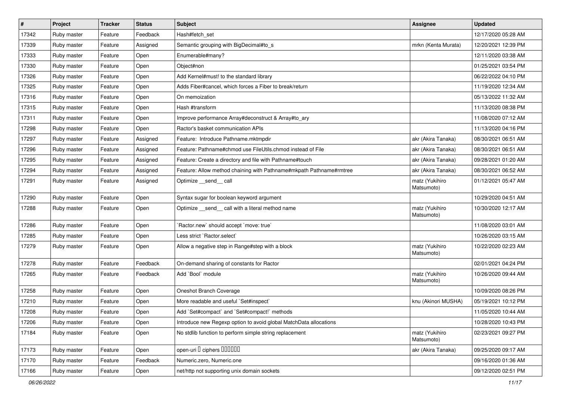| $\sharp$ | Project     | <b>Tracker</b> | <b>Status</b> | Subject                                                             | <b>Assignee</b>              | <b>Updated</b>      |
|----------|-------------|----------------|---------------|---------------------------------------------------------------------|------------------------------|---------------------|
| 17342    | Ruby master | Feature        | Feedback      | Hash#fetch_set                                                      |                              | 12/17/2020 05:28 AM |
| 17339    | Ruby master | Feature        | Assigned      | Semantic grouping with BigDecimal#to_s                              | mrkn (Kenta Murata)          | 12/20/2021 12:39 PM |
| 17333    | Ruby master | Feature        | Open          | Enumerable#many?                                                    |                              | 12/11/2020 03:38 AM |
| 17330    | Ruby master | Feature        | Open          | Object#non                                                          |                              | 01/25/2021 03:54 PM |
| 17326    | Ruby master | Feature        | Open          | Add Kernel#must! to the standard library                            |                              | 06/22/2022 04:10 PM |
| 17325    | Ruby master | Feature        | Open          | Adds Fiber#cancel, which forces a Fiber to break/return             |                              | 11/19/2020 12:34 AM |
| 17316    | Ruby master | Feature        | Open          | On memoization                                                      |                              | 05/13/2022 11:32 AM |
| 17315    | Ruby master | Feature        | Open          | Hash #transform                                                     |                              | 11/13/2020 08:38 PM |
| 17311    | Ruby master | Feature        | Open          | Improve performance Array#deconstruct & Array#to_ary                |                              | 11/08/2020 07:12 AM |
| 17298    | Ruby master | Feature        | Open          | Ractor's basket communication APIs                                  |                              | 11/13/2020 04:16 PM |
| 17297    | Ruby master | Feature        | Assigned      | Feature: Introduce Pathname.mktmpdir                                | akr (Akira Tanaka)           | 08/30/2021 06:51 AM |
| 17296    | Ruby master | Feature        | Assigned      | Feature: Pathname#chmod use FileUtils.chmod instead of File         | akr (Akira Tanaka)           | 08/30/2021 06:51 AM |
| 17295    | Ruby master | Feature        | Assigned      | Feature: Create a directory and file with Pathname#touch            | akr (Akira Tanaka)           | 09/28/2021 01:20 AM |
| 17294    | Ruby master | Feature        | Assigned      | Feature: Allow method chaining with Pathname#mkpath Pathname#rmtree | akr (Akira Tanaka)           | 08/30/2021 06:52 AM |
| 17291    | Ruby master | Feature        | Assigned      | Optimize __send__ call                                              | matz (Yukihiro<br>Matsumoto) | 01/12/2021 05:47 AM |
| 17290    | Ruby master | Feature        | Open          | Syntax sugar for boolean keyword argument                           |                              | 10/29/2020 04:51 AM |
| 17288    | Ruby master | Feature        | Open          | Optimize _send_ call with a literal method name                     | matz (Yukihiro<br>Matsumoto) | 10/30/2020 12:17 AM |
| 17286    | Ruby master | Feature        | Open          | 'Ractor.new' should accept 'move: true'                             |                              | 11/08/2020 03:01 AM |
| 17285    | Ruby master | Feature        | Open          | Less strict `Ractor.select`                                         |                              | 10/26/2020 03:15 AM |
| 17279    | Ruby master | Feature        | Open          | Allow a negative step in Range#step with a block                    | matz (Yukihiro<br>Matsumoto) | 10/22/2020 02:23 AM |
| 17278    | Ruby master | Feature        | Feedback      | On-demand sharing of constants for Ractor                           |                              | 02/01/2021 04:24 PM |
| 17265    | Ruby master | Feature        | Feedback      | Add `Bool` module                                                   | matz (Yukihiro<br>Matsumoto) | 10/26/2020 09:44 AM |
| 17258    | Ruby master | Feature        | Open          | Oneshot Branch Coverage                                             |                              | 10/09/2020 08:26 PM |
| 17210    | Ruby master | Feature        | Open          | More readable and useful `Set#inspect`                              | knu (Akinori MUSHA)          | 05/19/2021 10:12 PM |
| 17208    | Ruby master | Feature        | Open          | Add `Set#compact` and `Set#compact!` methods                        |                              | 11/05/2020 10:44 AM |
| 17206    | Ruby master | Feature        | Open          | Introduce new Regexp option to avoid global MatchData allocations   |                              | 10/28/2020 10:43 PM |
| 17184    | Ruby master | Feature        | Open          | No stdlib function to perform simple string replacement             | matz (Yukihiro<br>Matsumoto) | 02/23/2021 09:27 PM |
| 17173    | Ruby master | Feature        | Open          | open-uri <sup>[]</sup> ciphers [10000]                              | akr (Akira Tanaka)           | 09/25/2020 09:17 AM |
| 17170    | Ruby master | Feature        | Feedback      | Numeric.zero, Numeric.one                                           |                              | 09/16/2020 01:36 AM |
| 17166    | Ruby master | Feature        | Open          | net/http not supporting unix domain sockets                         |                              | 09/12/2020 02:51 PM |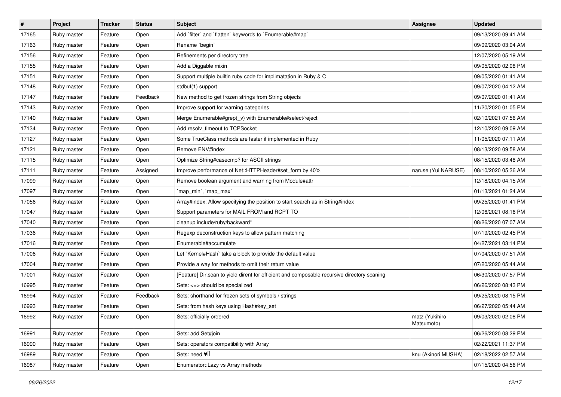| $\sharp$ | <b>Project</b> | <b>Tracker</b> | <b>Status</b> | Subject                                                                                     | Assignee                     | <b>Updated</b>      |
|----------|----------------|----------------|---------------|---------------------------------------------------------------------------------------------|------------------------------|---------------------|
| 17165    | Ruby master    | Feature        | Open          | Add 'filter' and 'flatten' keywords to 'Enumerable#map'                                     |                              | 09/13/2020 09:41 AM |
| 17163    | Ruby master    | Feature        | Open          | Rename `begin`                                                                              |                              | 09/09/2020 03:04 AM |
| 17156    | Ruby master    | Feature        | Open          | Refinements per directory tree                                                              |                              | 12/07/2020 05:19 AM |
| 17155    | Ruby master    | Feature        | Open          | Add a Diggable mixin                                                                        |                              | 09/05/2020 02:08 PM |
| 17151    | Ruby master    | Feature        | Open          | Support multiple builtin ruby code for implimatation in Ruby & C                            |                              | 09/05/2020 01:41 AM |
| 17148    | Ruby master    | Feature        | Open          | stdbuf(1) support                                                                           |                              | 09/07/2020 04:12 AM |
| 17147    | Ruby master    | Feature        | Feedback      | New method to get frozen strings from String objects                                        |                              | 09/07/2020 01:41 AM |
| 17143    | Ruby master    | Feature        | Open          | Improve support for warning categories                                                      |                              | 11/20/2020 01:05 PM |
| 17140    | Ruby master    | Feature        | Open          | Merge Enumerable#grep(_v) with Enumerable#select/reject                                     |                              | 02/10/2021 07:56 AM |
| 17134    | Ruby master    | Feature        | Open          | Add resolv_timeout to TCPSocket                                                             |                              | 12/10/2020 09:09 AM |
| 17127    | Ruby master    | Feature        | Open          | Some TrueClass methods are faster if implemented in Ruby                                    |                              | 11/05/2020 07:11 AM |
| 17121    | Ruby master    | Feature        | Open          | Remove ENV#index                                                                            |                              | 08/13/2020 09:58 AM |
| 17115    | Ruby master    | Feature        | Open          | Optimize String#casecmp? for ASCII strings                                                  |                              | 08/15/2020 03:48 AM |
| 17111    | Ruby master    | Feature        | Assigned      | Improve performance of Net::HTTPHeader#set_form by 40%                                      | naruse (Yui NARUSE)          | 08/10/2020 05:36 AM |
| 17099    | Ruby master    | Feature        | Open          | Remove boolean argument and warning from Module#attr                                        |                              | 12/18/2020 04:15 AM |
| 17097    | Ruby master    | Feature        | Open          | 'map_min', 'map_max'                                                                        |                              | 01/13/2021 01:24 AM |
| 17056    | Ruby master    | Feature        | Open          | Array#index: Allow specifying the position to start search as in String#index               |                              | 09/25/2020 01:41 PM |
| 17047    | Ruby master    | Feature        | Open          | Support parameters for MAIL FROM and RCPT TO                                                |                              | 12/06/2021 08:16 PM |
| 17040    | Ruby master    | Feature        | Open          | cleanup include/ruby/backward*                                                              |                              | 08/26/2020 07:07 AM |
| 17036    | Ruby master    | Feature        | Open          | Regexp deconstruction keys to allow pattern matching                                        |                              | 07/19/2020 02:45 PM |
| 17016    | Ruby master    | Feature        | Open          | Enumerable#accumulate                                                                       |                              | 04/27/2021 03:14 PM |
| 17006    | Ruby master    | Feature        | Open          | Let `Kernel#Hash` take a block to provide the default value                                 |                              | 07/04/2020 07:51 AM |
| 17004    | Ruby master    | Feature        | Open          | Provide a way for methods to omit their return value                                        |                              | 07/20/2020 05:44 AM |
| 17001    | Ruby master    | Feature        | Open          | [Feature] Dir.scan to yield dirent for efficient and composable recursive directory scaning |                              | 06/30/2020 07:57 PM |
| 16995    | Ruby master    | Feature        | Open          | Sets: <=> should be specialized                                                             |                              | 06/26/2020 08:43 PM |
| 16994    | Ruby master    | Feature        | Feedback      | Sets: shorthand for frozen sets of symbols / strings                                        |                              | 09/25/2020 08:15 PM |
| 16993    | Ruby master    | Feature        | Open          | Sets: from hash keys using Hash#key_set                                                     |                              | 06/27/2020 05:44 AM |
| 16992    | Ruby master    | Feature        | Open          | Sets: officially ordered                                                                    | matz (Yukihiro<br>Matsumoto) | 09/03/2020 02:08 PM |
| 16991    | Ruby master    | Feature        | Open          | Sets: add Set#join                                                                          |                              | 06/26/2020 08:29 PM |
| 16990    | Ruby master    | Feature        | Open          | Sets: operators compatibility with Array                                                    |                              | 02/22/2021 11:37 PM |
| 16989    | Ruby master    | Feature        | Open          | Sets: need $\Psi$ <sup>[]</sup>                                                             | knu (Akinori MUSHA)          | 02/18/2022 02:57 AM |
| 16987    | Ruby master    | Feature        | Open          | Enumerator::Lazy vs Array methods                                                           |                              | 07/15/2020 04:56 PM |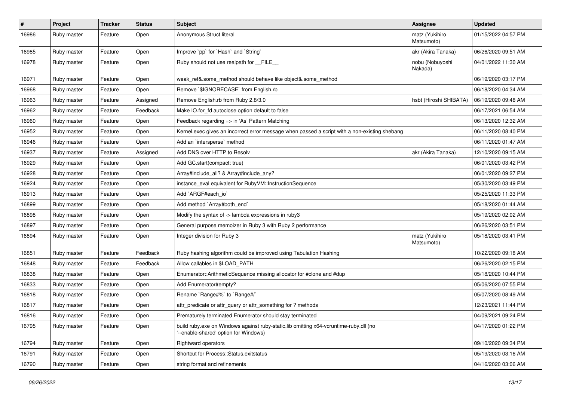| $\pmb{\#}$ | Project     | <b>Tracker</b> | <b>Status</b> | Subject                                                                                                                        | Assignee                     | <b>Updated</b>      |
|------------|-------------|----------------|---------------|--------------------------------------------------------------------------------------------------------------------------------|------------------------------|---------------------|
| 16986      | Ruby master | Feature        | Open          | Anonymous Struct literal                                                                                                       | matz (Yukihiro<br>Matsumoto) | 01/15/2022 04:57 PM |
| 16985      | Ruby master | Feature        | Open          | Improve `pp` for `Hash` and `String`                                                                                           | akr (Akira Tanaka)           | 06/26/2020 09:51 AM |
| 16978      | Ruby master | Feature        | Open          | Ruby should not use realpath for FILE                                                                                          | nobu (Nobuyoshi<br>Nakada)   | 04/01/2022 11:30 AM |
| 16971      | Ruby master | Feature        | Open          | weak_ref&.some_method should behave like object&.some_method                                                                   |                              | 06/19/2020 03:17 PM |
| 16968      | Ruby master | Feature        | Open          | Remove `\$IGNORECASE` from English.rb                                                                                          |                              | 06/18/2020 04:34 AM |
| 16963      | Ruby master | Feature        | Assigned      | Remove English.rb from Ruby 2.8/3.0                                                                                            | hsbt (Hiroshi SHIBATA)       | 06/19/2020 09:48 AM |
| 16962      | Ruby master | Feature        | Feedback      | Make IO.for_fd autoclose option default to false                                                                               |                              | 06/17/2021 06:54 AM |
| 16960      | Ruby master | Feature        | Open          | Feedback regarding => in 'As' Pattern Matching                                                                                 |                              | 06/13/2020 12:32 AM |
| 16952      | Ruby master | Feature        | Open          | Kernel.exec gives an incorrect error message when passed a script with a non-existing shebang                                  |                              | 06/11/2020 08:40 PM |
| 16946      | Ruby master | Feature        | Open          | Add an `intersperse` method                                                                                                    |                              | 06/11/2020 01:47 AM |
| 16937      | Ruby master | Feature        | Assigned      | Add DNS over HTTP to Resolv                                                                                                    | akr (Akira Tanaka)           | 12/10/2020 09:15 AM |
| 16929      | Ruby master | Feature        | Open          | Add GC.start(compact: true)                                                                                                    |                              | 06/01/2020 03:42 PM |
| 16928      | Ruby master | Feature        | Open          | Array#include_all? & Array#include_any?                                                                                        |                              | 06/01/2020 09:27 PM |
| 16924      | Ruby master | Feature        | Open          | instance_eval equivalent for RubyVM::InstructionSequence                                                                       |                              | 05/30/2020 03:49 PM |
| 16913      | Ruby master | Feature        | Open          | Add `ARGF#each_io`                                                                                                             |                              | 05/25/2020 11:33 PM |
| 16899      | Ruby master | Feature        | Open          | Add method `Array#both_end`                                                                                                    |                              | 05/18/2020 01:44 AM |
| 16898      | Ruby master | Feature        | Open          | Modify the syntax of -> lambda expressions in ruby3                                                                            |                              | 05/19/2020 02:02 AM |
| 16897      | Ruby master | Feature        | Open          | General purpose memoizer in Ruby 3 with Ruby 2 performance                                                                     |                              | 06/26/2020 03:51 PM |
| 16894      | Ruby master | Feature        | Open          | Integer division for Ruby 3                                                                                                    | matz (Yukihiro<br>Matsumoto) | 05/18/2020 03:41 PM |
| 16851      | Ruby master | Feature        | Feedback      | Ruby hashing algorithm could be improved using Tabulation Hashing                                                              |                              | 10/22/2020 09:18 AM |
| 16848      | Ruby master | Feature        | Feedback      | Allow callables in \$LOAD_PATH                                                                                                 |                              | 06/26/2020 02:15 PM |
| 16838      | Ruby master | Feature        | Open          | Enumerator::ArithmeticSequence missing allocator for #clone and #dup                                                           |                              | 05/18/2020 10:44 PM |
| 16833      | Ruby master | Feature        | Open          | Add Enumerator#empty?                                                                                                          |                              | 05/06/2020 07:55 PM |
| 16818      | Ruby master | Feature        | Open          | Rename `Range#%` to `Range#/`                                                                                                  |                              | 05/07/2020 08:49 AM |
| 16817      | Ruby master | Feature        | Open          | attr_predicate or attr_query or attr_something for ? methods                                                                   |                              | 12/23/2021 11:44 PM |
| 16816      | Ruby master | Feature        | Open          | Prematurely terminated Enumerator should stay terminated                                                                       |                              | 04/09/2021 09:24 PM |
| 16795      | Ruby master | Feature        | Open          | build ruby.exe on Windows against ruby-static.lib omitting x64-vcruntime-ruby.dll (no<br>'--enable-shared' option for Windows) |                              | 04/17/2020 01:22 PM |
| 16794      | Ruby master | Feature        | Open          | <b>Rightward operators</b>                                                                                                     |                              | 09/10/2020 09:34 PM |
| 16791      | Ruby master | Feature        | Open          | Shortcut for Process::Status.exitstatus                                                                                        |                              | 05/19/2020 03:16 AM |
| 16790      | Ruby master | Feature        | Open          | string format and refinements                                                                                                  |                              | 04/16/2020 03:06 AM |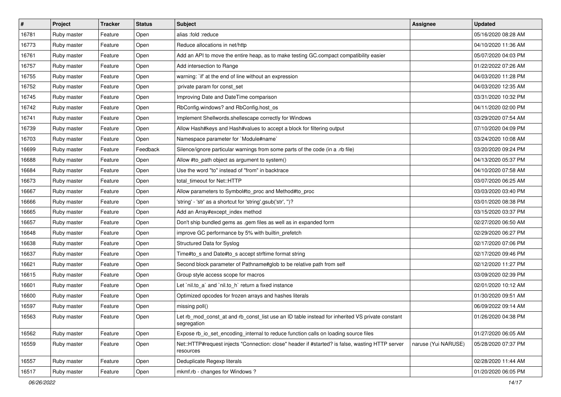| $\sharp$ | <b>Project</b> | <b>Tracker</b> | <b>Status</b> | Subject                                                                                                       | <b>Assignee</b>     | <b>Updated</b>      |
|----------|----------------|----------------|---------------|---------------------------------------------------------------------------------------------------------------|---------------------|---------------------|
| 16781    | Ruby master    | Feature        | Open          | alias :fold :reduce                                                                                           |                     | 05/16/2020 08:28 AM |
| 16773    | Ruby master    | Feature        | Open          | Reduce allocations in net/http                                                                                |                     | 04/10/2020 11:36 AM |
| 16761    | Ruby master    | Feature        | Open          | Add an API to move the entire heap, as to make testing GC.compact compatibility easier                        |                     | 05/07/2020 04:03 PM |
| 16757    | Ruby master    | Feature        | Open          | Add intersection to Range                                                                                     |                     | 01/22/2022 07:26 AM |
| 16755    | Ruby master    | Feature        | Open          | warning: `if' at the end of line without an expression                                                        |                     | 04/03/2020 11:28 PM |
| 16752    | Ruby master    | Feature        | Open          | :private param for const_set                                                                                  |                     | 04/03/2020 12:35 AM |
| 16745    | Ruby master    | Feature        | Open          | Improving Date and DateTime comparison                                                                        |                     | 03/31/2020 10:32 PM |
| 16742    | Ruby master    | Feature        | Open          | RbConfig.windows? and RbConfig.host_os                                                                        |                     | 04/11/2020 02:00 PM |
| 16741    | Ruby master    | Feature        | Open          | Implement Shellwords.shellescape correctly for Windows                                                        |                     | 03/29/2020 07:54 AM |
| 16739    | Ruby master    | Feature        | Open          | Allow Hash#keys and Hash#values to accept a block for filtering output                                        |                     | 07/10/2020 04:09 PM |
| 16703    | Ruby master    | Feature        | Open          | Namespace parameter for `Module#name`                                                                         |                     | 03/24/2020 10:08 AM |
| 16699    | Ruby master    | Feature        | Feedback      | Silence/ignore particular warnings from some parts of the code (in a .rb file)                                |                     | 03/20/2020 09:24 PM |
| 16688    | Ruby master    | Feature        | Open          | Allow #to_path object as argument to system()                                                                 |                     | 04/13/2020 05:37 PM |
| 16684    | Ruby master    | Feature        | Open          | Use the word "to" instead of "from" in backtrace                                                              |                     | 04/10/2020 07:58 AM |
| 16673    | Ruby master    | Feature        | Open          | total timeout for Net::HTTP                                                                                   |                     | 03/07/2020 06:25 AM |
| 16667    | Ruby master    | Feature        | Open          | Allow parameters to Symbol#to_proc and Method#to_proc                                                         |                     | 03/03/2020 03:40 PM |
| 16666    | Ruby master    | Feature        | Open          | 'string' - 'str' as a shortcut for 'string'.gsub('str', ")?                                                   |                     | 03/01/2020 08:38 PM |
| 16665    | Ruby master    | Feature        | Open          | Add an Array#except_index method                                                                              |                     | 03/15/2020 03:37 PM |
| 16657    | Ruby master    | Feature        | Open          | Don't ship bundled gems as .gem files as well as in expanded form                                             |                     | 02/27/2020 06:50 AM |
| 16648    | Ruby master    | Feature        | Open          | improve GC performance by 5% with builtin_prefetch                                                            |                     | 02/29/2020 06:27 PM |
| 16638    | Ruby master    | Feature        | Open          | Structured Data for Syslog                                                                                    |                     | 02/17/2020 07:06 PM |
| 16637    | Ruby master    | Feature        | Open          | Time#to_s and Date#to_s accept strftime format string                                                         |                     | 02/17/2020 09:46 PM |
| 16621    | Ruby master    | Feature        | Open          | Second block parameter of Pathname#glob to be relative path from self                                         |                     | 02/12/2020 11:27 PM |
| 16615    | Ruby master    | Feature        | Open          | Group style access scope for macros                                                                           |                     | 03/09/2020 02:39 PM |
| 16601    | Ruby master    | Feature        | Open          | Let `nil.to_a` and `nil.to_h` return a fixed instance                                                         |                     | 02/01/2020 10:12 AM |
| 16600    | Ruby master    | Feature        | Open          | Optimized opcodes for frozen arrays and hashes literals                                                       |                     | 01/30/2020 09:51 AM |
| 16597    | Ruby master    | Feature        | Open          | missing poll()                                                                                                |                     | 06/09/2022 09:14 AM |
| 16563    | Ruby master    | Feature        | Open          | et rb_mod_const_at and rb_const_list use an ID table instead for inherited VS private constant<br>segregation |                     | 01/26/2020 04:38 PM |
| 16562    | Ruby master    | Feature        | Open          | Expose rb_io_set_encoding_internal to reduce function calls on loading source files                           |                     | 01/27/2020 06:05 AM |
| 16559    | Ruby master    | Feature        | Open          | Net::HTTP#request injects "Connection: close" header if #started? is false, wasting HTTP server<br>resources  | naruse (Yui NARUSE) | 05/28/2020 07:37 PM |
| 16557    | Ruby master    | Feature        | Open          | Deduplicate Regexp literals                                                                                   |                     | 02/28/2020 11:44 AM |
| 16517    | Ruby master    | Feature        | Open          | mkmf.rb - changes for Windows?                                                                                |                     | 01/20/2020 06:05 PM |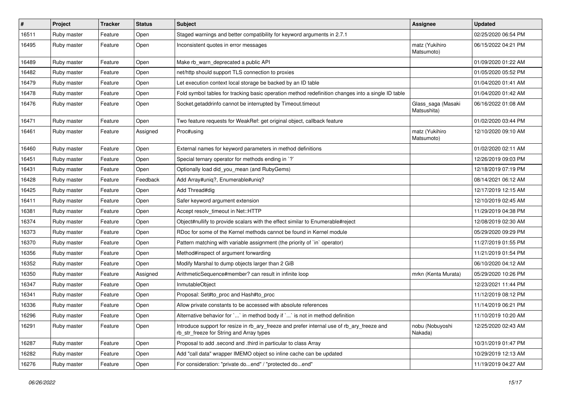| $\sharp$ | <b>Project</b> | <b>Tracker</b> | <b>Status</b> | Subject                                                                                                                                | Assignee                          | <b>Updated</b>      |
|----------|----------------|----------------|---------------|----------------------------------------------------------------------------------------------------------------------------------------|-----------------------------------|---------------------|
| 16511    | Ruby master    | Feature        | Open          | Staged warnings and better compatibility for keyword arguments in 2.7.1                                                                |                                   | 02/25/2020 06:54 PM |
| 16495    | Ruby master    | Feature        | Open          | Inconsistent quotes in error messages                                                                                                  | matz (Yukihiro<br>Matsumoto)      | 06/15/2022 04:21 PM |
| 16489    | Ruby master    | Feature        | Open          | Make rb_warn_deprecated a public API                                                                                                   |                                   | 01/09/2020 01:22 AM |
| 16482    | Ruby master    | Feature        | Open          | net/http should support TLS connection to proxies                                                                                      |                                   | 01/05/2020 05:52 PM |
| 16479    | Ruby master    | Feature        | Open          | Let execution context local storage be backed by an ID table                                                                           |                                   | 01/04/2020 01:41 AM |
| 16478    | Ruby master    | Feature        | Open          | Fold symbol tables for tracking basic operation method redefinition changes into a single ID table                                     |                                   | 01/04/2020 01:42 AM |
| 16476    | Ruby master    | Feature        | Open          | Socket.getaddrinfo cannot be interrupted by Timeout.timeout                                                                            | Glass_saga (Masaki<br>Matsushita) | 06/16/2022 01:08 AM |
| 16471    | Ruby master    | Feature        | Open          | Two feature requests for WeakRef: get original object, callback feature                                                                |                                   | 01/02/2020 03:44 PM |
| 16461    | Ruby master    | Feature        | Assigned      | Proc#using                                                                                                                             | matz (Yukihiro<br>Matsumoto)      | 12/10/2020 09:10 AM |
| 16460    | Ruby master    | Feature        | Open          | External names for keyword parameters in method definitions                                                                            |                                   | 01/02/2020 02:11 AM |
| 16451    | Ruby master    | Feature        | Open          | Special ternary operator for methods ending in `?`                                                                                     |                                   | 12/26/2019 09:03 PM |
| 16431    | Ruby master    | Feature        | Open          | Optionally load did_you_mean (and RubyGems)                                                                                            |                                   | 12/18/2019 07:19 PM |
| 16428    | Ruby master    | Feature        | Feedback      | Add Array#uniq?, Enumerable#uniq?                                                                                                      |                                   | 08/14/2021 06:12 AM |
| 16425    | Ruby master    | Feature        | Open          | Add Thread#dig                                                                                                                         |                                   | 12/17/2019 12:15 AM |
| 16411    | Ruby master    | Feature        | Open          | Safer keyword argument extension                                                                                                       |                                   | 12/10/2019 02:45 AM |
| 16381    | Ruby master    | Feature        | Open          | Accept resolv timeout in Net::HTTP                                                                                                     |                                   | 11/29/2019 04:38 PM |
| 16374    | Ruby master    | Feature        | Open          | Object#nullify to provide scalars with the effect similar to Enumerable#reject                                                         |                                   | 12/08/2019 02:30 AM |
| 16373    | Ruby master    | Feature        | Open          | RDoc for some of the Kernel methods cannot be found in Kernel module                                                                   |                                   | 05/29/2020 09:29 PM |
| 16370    | Ruby master    | Feature        | Open          | Pattern matching with variable assignment (the priority of `in` operator)                                                              |                                   | 11/27/2019 01:55 PM |
| 16356    | Ruby master    | Feature        | Open          | Method#inspect of argument forwarding                                                                                                  |                                   | 11/21/2019 01:54 PM |
| 16352    | Ruby master    | Feature        | Open          | Modify Marshal to dump objects larger than 2 GiB                                                                                       |                                   | 06/10/2020 04:12 AM |
| 16350    | Ruby master    | Feature        | Assigned      | ArithmeticSequence#member? can result in infinite loop                                                                                 | mrkn (Kenta Murata)               | 05/29/2020 10:26 PM |
| 16347    | Ruby master    | Feature        | Open          | InmutableObject                                                                                                                        |                                   | 12/23/2021 11:44 PM |
| 16341    | Ruby master    | Feature        | Open          | Proposal: Set#to_proc and Hash#to_proc                                                                                                 |                                   | 11/12/2019 08:12 PM |
| 16336    | Ruby master    | Feature        | Open          | Allow private constants to be accessed with absolute references                                                                        |                                   | 11/14/2019 06:21 PM |
| 16296    | Ruby master    | Feature        | Open          | Alternative behavior for $\ldots$ in method body if $\ldots$ is not in method definition                                               |                                   | 11/10/2019 10:20 AM |
| 16291    | Ruby master    | Feature        | Open          | Introduce support for resize in rb_ary_freeze and prefer internal use of rb_ary_freeze and<br>rb str freeze for String and Array types | nobu (Nobuyoshi<br>Nakada)        | 12/25/2020 02:43 AM |
| 16287    | Ruby master    | Feature        | Open          | Proposal to add .second and .third in particular to class Array                                                                        |                                   | 10/31/2019 01:47 PM |
| 16282    | Ruby master    | Feature        | Open          | Add "call data" wrapper IMEMO object so inline cache can be updated                                                                    |                                   | 10/29/2019 12:13 AM |
| 16276    | Ruby master    | Feature        | Open          | For consideration: "private doend" / "protected doend"                                                                                 |                                   | 11/19/2019 04:27 AM |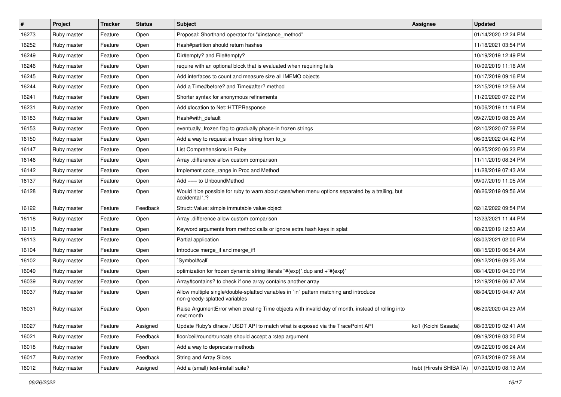| $\vert$ # | Project     | <b>Tracker</b> | <b>Status</b> | <b>Subject</b>                                                                                                          | <b>Assignee</b>        | <b>Updated</b>      |
|-----------|-------------|----------------|---------------|-------------------------------------------------------------------------------------------------------------------------|------------------------|---------------------|
| 16273     | Ruby master | Feature        | Open          | Proposal: Shorthand operator for "#instance_method"                                                                     |                        | 01/14/2020 12:24 PM |
| 16252     | Ruby master | Feature        | Open          | Hash#partition should return hashes                                                                                     |                        | 11/18/2021 03:54 PM |
| 16249     | Ruby master | Feature        | Open          | Dir#empty? and File#empty?                                                                                              |                        | 10/19/2019 12:49 PM |
| 16246     | Ruby master | Feature        | Open          | require with an optional block that is evaluated when requiring fails                                                   |                        | 10/09/2019 11:16 AM |
| 16245     | Ruby master | Feature        | Open          | Add interfaces to count and measure size all IMEMO objects                                                              |                        | 10/17/2019 09:16 PM |
| 16244     | Ruby master | Feature        | Open          | Add a Time#before? and Time#after? method                                                                               |                        | 12/15/2019 12:59 AM |
| 16241     | Ruby master | Feature        | Open          | Shorter syntax for anonymous refinements                                                                                |                        | 11/20/2020 07:22 PM |
| 16231     | Ruby master | Feature        | Open          | Add #location to Net::HTTPResponse                                                                                      |                        | 10/06/2019 11:14 PM |
| 16183     | Ruby master | Feature        | Open          | Hash#with_default                                                                                                       |                        | 09/27/2019 08:35 AM |
| 16153     | Ruby master | Feature        | Open          | eventually_frozen flag to gradually phase-in frozen strings                                                             |                        | 02/10/2020 07:39 PM |
| 16150     | Ruby master | Feature        | Open          | Add a way to request a frozen string from to s                                                                          |                        | 06/03/2022 04:42 PM |
| 16147     | Ruby master | Feature        | Open          | List Comprehensions in Ruby                                                                                             |                        | 06/25/2020 06:23 PM |
| 16146     | Ruby master | Feature        | Open          | Array .difference allow custom comparison                                                                               |                        | 11/11/2019 08:34 PM |
| 16142     | Ruby master | Feature        | Open          | Implement code_range in Proc and Method                                                                                 |                        | 11/28/2019 07:43 AM |
| 16137     | Ruby master | Feature        | Open          | Add === to UnboundMethod                                                                                                |                        | 09/07/2019 11:05 AM |
| 16128     | Ruby master | Feature        | Open          | Would it be possible for ruby to warn about case/when menu options separated by a trailing, but<br>accidental ','?      |                        | 08/26/2019 09:56 AM |
| 16122     | Ruby master | Feature        | Feedback      | Struct::Value: simple immutable value object                                                                            |                        | 02/12/2022 09:54 PM |
| 16118     | Ruby master | Feature        | Open          | Array .difference allow custom comparison                                                                               |                        | 12/23/2021 11:44 PM |
| 16115     | Ruby master | Feature        | Open          | Keyword arguments from method calls or ignore extra hash keys in splat                                                  |                        | 08/23/2019 12:53 AM |
| 16113     | Ruby master | Feature        | Open          | Partial application                                                                                                     |                        | 03/02/2021 02:00 PM |
| 16104     | Ruby master | Feature        | Open          | Introduce merge_if and merge_if!                                                                                        |                        | 08/15/2019 06:54 AM |
| 16102     | Ruby master | Feature        | Open          | `Symbol#call`                                                                                                           |                        | 09/12/2019 09:25 AM |
| 16049     | Ruby master | Feature        | Open          | optimization for frozen dynamic string literals "#{exp}" dup and +"#{exp}"                                              |                        | 08/14/2019 04:30 PM |
| 16039     | Ruby master | Feature        | Open          | Array#contains? to check if one array contains another array                                                            |                        | 12/19/2019 06:47 AM |
| 16037     | Ruby master | Feature        | Open          | Allow multiple single/double-splatted variables in `in` pattern matching and introduce<br>non-greedy-splatted variables |                        | 08/04/2019 04:47 AM |
| 16031     | Ruby master | Feature        | Open          | Raise ArgumentError when creating Time objects with invalid day of month, instead of rolling into<br>next month         |                        | 06/20/2020 04:23 AM |
| 16027     | Ruby master | Feature        | Assigned      | Update Ruby's dtrace / USDT API to match what is exposed via the TracePoint API                                         | ko1 (Koichi Sasada)    | 08/03/2019 02:41 AM |
| 16021     | Ruby master | Feature        | Feedback      | floor/ceil/round/truncate should accept a :step argument                                                                |                        | 09/19/2019 03:20 PM |
| 16018     | Ruby master | Feature        | Open          | Add a way to deprecate methods                                                                                          |                        | 09/02/2019 06:24 AM |
| 16017     | Ruby master | Feature        | Feedback      | <b>String and Array Slices</b>                                                                                          |                        | 07/24/2019 07:28 AM |
| 16012     | Ruby master | Feature        | Assigned      | Add a (small) test-install suite?                                                                                       | hsbt (Hiroshi SHIBATA) | 07/30/2019 08:13 AM |